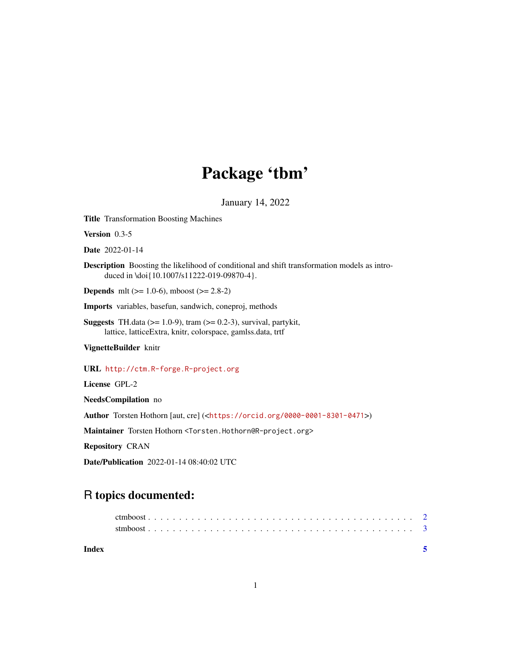## Package 'tbm'

January 14, 2022

<span id="page-0-0"></span>Title Transformation Boosting Machines

Version 0.3-5

Date 2022-01-14

Description Boosting the likelihood of conditional and shift transformation models as introduced in \doi{10.1007/s11222-019-09870-4}.

**Depends** mlt ( $>= 1.0-6$ ), mboost ( $>= 2.8-2$ )

Imports variables, basefun, sandwich, coneproj, methods

Suggests TH.data ( $>= 1.0-9$ ), tram ( $>= 0.2-3$ ), survival, partykit, lattice, latticeExtra, knitr, colorspace, gamlss.data, trtf

VignetteBuilder knitr

URL <http://ctm.R-forge.R-project.org>

License GPL-2

NeedsCompilation no

Author Torsten Hothorn [aut, cre] (<<https://orcid.org/0000-0001-8301-0471>>)

Maintainer Torsten Hothorn <Torsten.Hothorn@R-project.org>

Repository CRAN

Date/Publication 2022-01-14 08:40:02 UTC

### R topics documented:

| Index |  |  |  |  |  |  |  |  |  |  |  |  |  |  |  |  |  |  |  |
|-------|--|--|--|--|--|--|--|--|--|--|--|--|--|--|--|--|--|--|--|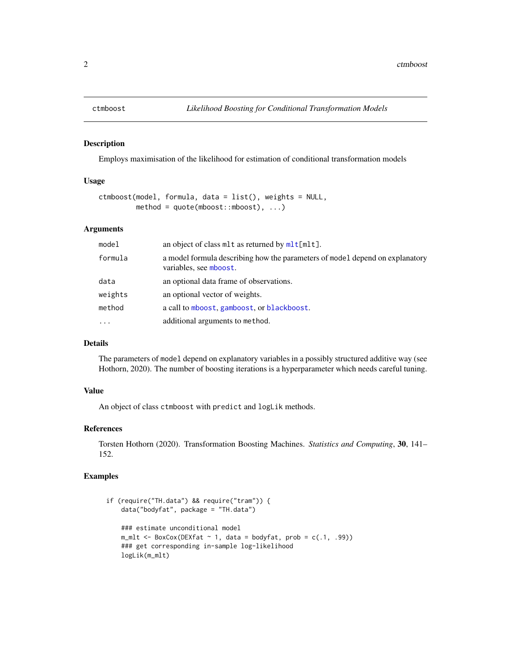<span id="page-1-0"></span>

#### Description

Employs maximisation of the likelihood for estimation of conditional transformation models

#### Usage

```
ctmboost(model, formula, data = list(), weights = NULL,
        method = quote(mboost::mboost), ...
```
#### Arguments

| model    | an object of class m <sub>1</sub> t as returned by $mlt[mlt]$ .                                        |
|----------|--------------------------------------------------------------------------------------------------------|
| formula  | a model formula describing how the parameters of model depend on explanatory<br>variables, see mboost. |
| data     | an optional data frame of observations.                                                                |
| weights  | an optional vector of weights.                                                                         |
| method   | a call to mboost, gamboost, or blackboost.                                                             |
| $\ddots$ | additional arguments to method.                                                                        |
|          |                                                                                                        |

#### Details

The parameters of model depend on explanatory variables in a possibly structured additive way (see Hothorn, 2020). The number of boosting iterations is a hyperparameter which needs careful tuning.

#### Value

An object of class ctmboost with predict and logLik methods.

#### References

Torsten Hothorn (2020). Transformation Boosting Machines. *Statistics and Computing*, 30, 141– 152.

#### Examples

```
if (require("TH.data") && require("tram")) {
    data("bodyfat", package = "TH.data")
    ### estimate unconditional model
    m_mlt <- BoxCox(DEXfat ~ 1, data = bodyfat, prob = c(.1, .99))
    ### get corresponding in-sample log-likelihood
    logLik(m_mlt)
```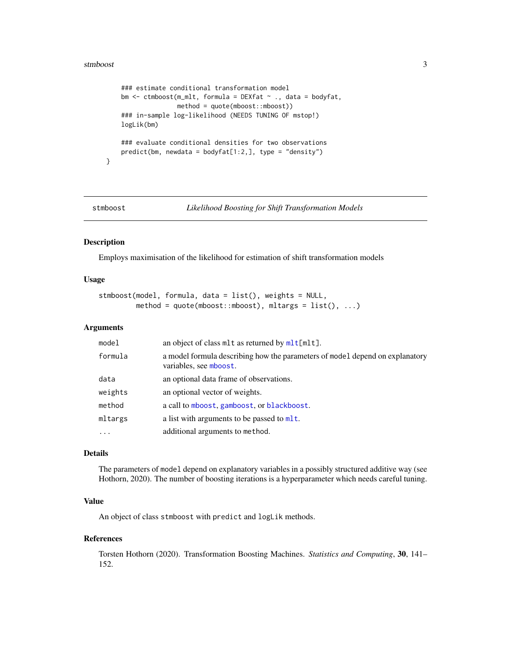#### <span id="page-2-0"></span>stmboost 3

```
### estimate conditional transformation model
bm <- ctmboost(m_mlt, formula = DEXfat ~ ., data = bodyfat,
               method = quote(mboost::mboost))
### in-sample log-likelihood (NEEDS TUNING OF mstop!)
logLik(bm)
### evaluate conditional densities for two observations
predict(bm, newdata = bodyfat[1:2,], type = "density")
```
}

stmboost *Likelihood Boosting for Shift Transformation Models*

#### Description

Employs maximisation of the likelihood for estimation of shift transformation models

#### Usage

stmboost(model, formula, data = list(), weights = NULL, method =  $quot$ (mboost::mboost), mltargs =  $list()$ , ...)

#### Arguments

| model     | an object of class m <sub>1</sub> t as returned by $m1t[mlt]$ .                                        |
|-----------|--------------------------------------------------------------------------------------------------------|
| formula   | a model formula describing how the parameters of model depend on explanatory<br>variables, see mboost. |
| data      | an optional data frame of observations.                                                                |
| weights   | an optional vector of weights.                                                                         |
| method    | a call to mboost, gamboost, or blackboost.                                                             |
| mltargs   | a list with arguments to be passed to $mlt$ .                                                          |
| $\ddotsc$ | additional arguments to method.                                                                        |

#### Details

The parameters of model depend on explanatory variables in a possibly structured additive way (see Hothorn, 2020). The number of boosting iterations is a hyperparameter which needs careful tuning.

#### Value

An object of class stmboost with predict and logLik methods.

#### References

Torsten Hothorn (2020). Transformation Boosting Machines. *Statistics and Computing*, 30, 141– 152.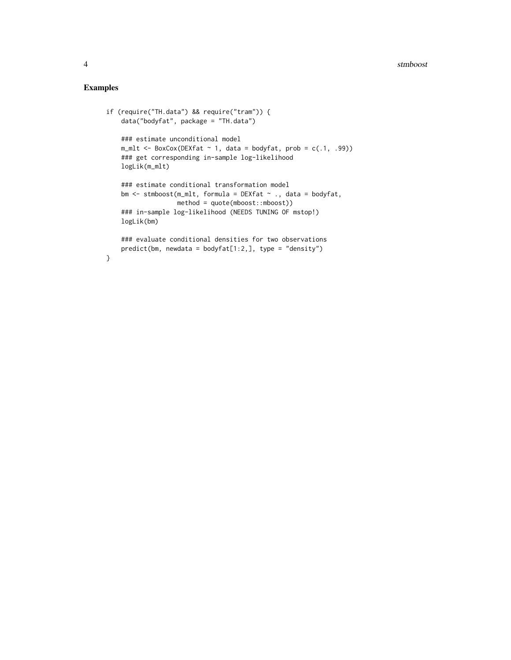#### Examples

```
if (require("TH.data") && require("tram")) {
    data("bodyfat", package = "TH.data")
    ### estimate unconditional model
    m_mlt < -Box(x(DEXfat ~ 1, data = bodyfat, prob = c(.1, .99))
    ### get corresponding in-sample log-likelihood
    logLik(m_mlt)
    ### estimate conditional transformation model
    bm <- stmboost(m_mlt, formula = DEXfat ~ ., data = bodyfat,
                  method = quote(mboost::mboost))
    ### in-sample log-likelihood (NEEDS TUNING OF mstop!)
    logLik(bm)
    ### evaluate conditional densities for two observations
    predict(bm, newdata = bodyfat[1:2,], type = "density")}
```